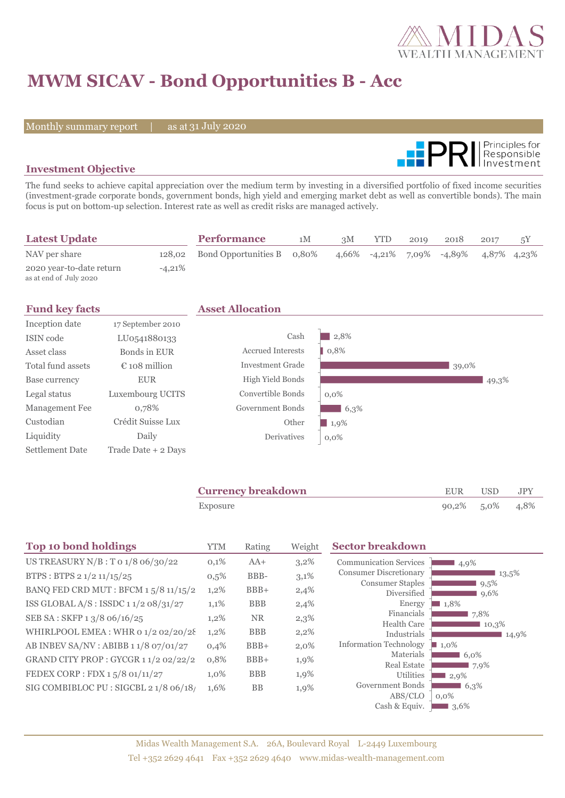

# **MWM SICAV - Bond Opportunities B - Acc**

Monthly summary report | as at 31 July 2020



### **Investment Objective**

The fund seeks to achieve capital appreciation over the medium term by investing in a diversified portfolio of fixed income securities (investment-grade corporate bonds, government bonds, high yield and emerging market debt as well as convertible bonds). The main focus is put on bottom-up selection. Interest rate as well as credit risks are managed actively.

| <b>Latest Update</b>                               |           | <b>Performance</b>                | 1M | 3M | <b>YTD</b> | 2019 | 2018                                  | 2017        | 5Υ |
|----------------------------------------------------|-----------|-----------------------------------|----|----|------------|------|---------------------------------------|-------------|----|
| NAV per share                                      |           | 128,02 Bond Opportunities B 0,80% |    |    |            |      | $4,66\%$ $-4,21\%$ $7,09\%$ $-4,89\%$ | 4,87% 4,23% |    |
| 2020 year-to-date return<br>as at end of July 2020 | $-4.21\%$ |                                   |    |    |            |      |                                       |             |    |

| <b>Fund key facts</b>  |                        | <b>Asset Allocation</b>  |         |       |  |  |
|------------------------|------------------------|--------------------------|---------|-------|--|--|
| Inception date         | 17 September 2010      |                          |         |       |  |  |
| ISIN code              | LU0541880133           | Cash                     | 2,8%    |       |  |  |
| Asset class            | Bonds in EUR           | <b>Accrued Interests</b> | 0,8%    |       |  |  |
| Total fund assets      | $\epsilon$ 108 million | <b>Investment Grade</b>  |         | 39,0% |  |  |
| Base currency          | <b>EUR</b>             | <b>High Yield Bonds</b>  |         | 49,3% |  |  |
| Legal status           | Luxembourg UCITS       | Convertible Bonds        | $0.0\%$ |       |  |  |
| Management Fee         | 0,78%                  | Government Bonds         | 6,3%    |       |  |  |
| Custodian              | Crédit Suisse Lux      | Other                    | 1,9%    |       |  |  |
| Liquidity              | Daily                  | Derivatives              | $0,0\%$ |       |  |  |
| <b>Settlement Date</b> | Trade Date + 2 Days    |                          |         |       |  |  |

| <b>Currency breakdown</b> | EUR             | USD | JPY |
|---------------------------|-----------------|-----|-----|
| Exposure                  | 90,2% 5,0% 4,8% |     |     |

| Top 10 bond holdings                     | <b>YTM</b> | Rating     | Weight | <b>Sector breakdown</b>                |                     |
|------------------------------------------|------------|------------|--------|----------------------------------------|---------------------|
| US TREASURY N/B: T 0 1/8 06/30/22        | 0,1%       | $AA+$      | 3,2%   | <b>Communication Services</b>          | 4,9%                |
| BTPS: BTPS 2 1/2 11/15/25                | $0,5\%$    | BBB-       | 3,1%   | <b>Consumer Discretionary</b>          | 13,5%               |
| BANQ FED CRD MUT : BFCM $15/8$ $11/15/2$ | 1,2%       | $BBB+$     | 2,4%   | <b>Consumer Staples</b><br>Diversified | 9,5%<br>9,6%        |
| ISS GLOBAL $A/S$ : ISSDC 11/2 08/31/27   | 1,1%       | <b>BBB</b> | 2,4%   | Energy                                 | 1,8%                |
| SEB SA: SKFP 13/8 06/16/25               | 1,2%       | <b>NR</b>  | 2,3%   | Financials<br><b>Health Care</b>       | 7.8%<br>10,3%       |
| WHIRLPOOL EMEA: WHR 01/202/20/28         | $1,2\%$    | <b>BBB</b> | 2,2%   | Industrials                            | 14,9%               |
| AB INBEV SA/NV : ABIBB 1 1/8 07/01/27    | 0,4%       | $BBB+$     | 2,0%   | <b>Information Technology</b>          | $\blacksquare$ 1,0% |
| GRAND CITY PROP : GYCGR 1 1/2 02/22/2    | 0,8%       | $BBB+$     | 1,9%   | Materials                              | 6.0%                |
| FEDEX CORP : FDX 15/8 01/11/27           | 1,0%       | <b>BBB</b> | 1,9%   | <b>Real Estate</b><br>Utilities        | 7,9%<br>2,9%        |
| SIG COMBIBLOC PU : SIGCBL 2 1/8 06/18/   | 1,6%       | <b>BB</b>  | 1,9%   | Government Bonds                       | 6,3%                |
|                                          |            |            |        | ABS/CLO                                | $0.0\%$             |
|                                          |            |            |        | Cash & Equiv.                          | 3,6%                |